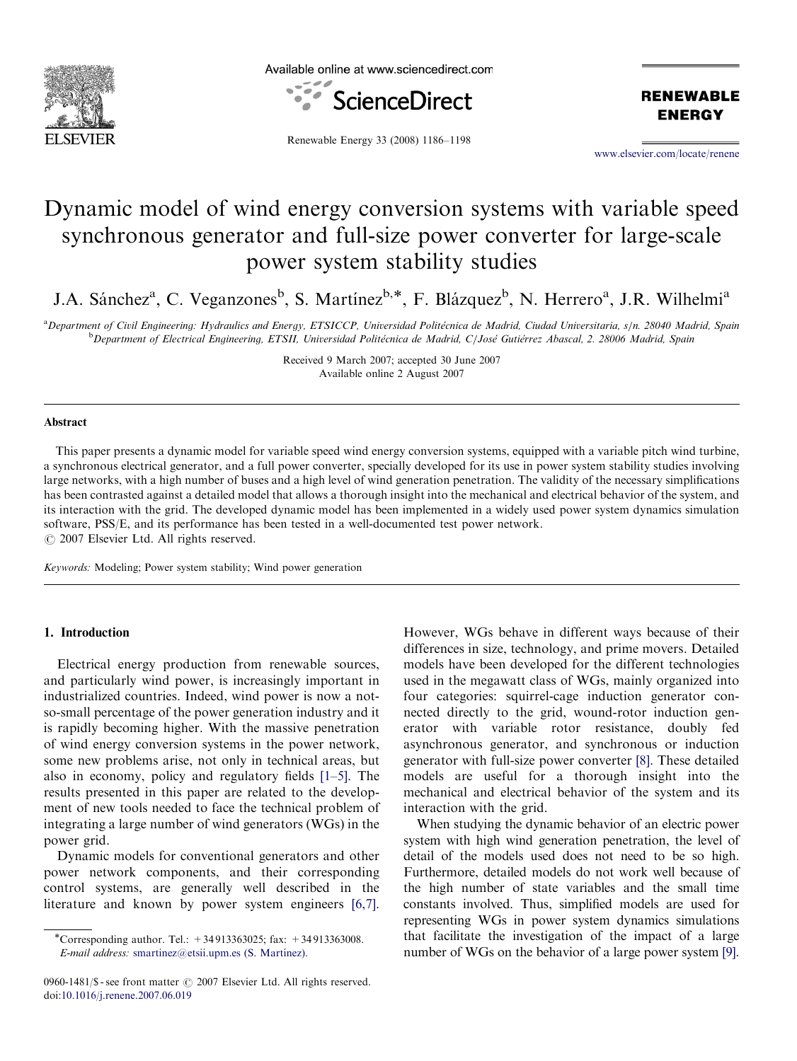

Available online at www.sciencedirect.com



**RENEWABLE ENERGY** 

Renewable Energy 33 (2008) 1186–1198

<www.elsevier.com/locate/renene>

# Dynamic model of wind energy conversion systems with variable speed synchronous generator and full-size power converter for large-scale power system stability studies

J.A. Sánchez<sup>a</sup>, C. Veganzones<sup>b</sup>, S. Martínez<sup>b,\*</sup>, F. Blázquez<sup>b</sup>, N. Herrero<sup>a</sup>, J.R. Wilhelmi<sup>a</sup>

a<br>Department of Civil Engineering: Hydraulics and Energy, ETSICCP, Universidad Politécnica de Madrid, Ciudad Universitaria, s/n. 28040 Madrid, Spain <sup>b</sup>Department of Electrical Engineering, ETSII, Universidad Politécnica de Madrid, C/José Gutiérrez Abascal, 2. 28006 Madrid, Spain

> Received 9 March 2007; accepted 30 June 2007 Available online 2 August 2007

### Abstract

This paper presents a dynamic model for variable speed wind energy conversion systems, equipped with a variable pitch wind turbine, a synchronous electrical generator, and a full power converter, specially developed for its use in power system stability studies involving large networks, with a high number of buses and a high level of wind generation penetration. The validity of the necessary simplifications has been contrasted against a detailed model that allows a thorough insight into the mechanical and electrical behavior of the system, and its interaction with the grid. The developed dynamic model has been implemented in a widely used power system dynamics simulation software, PSS/E, and its performance has been tested in a well-documented test power network.  $\odot$  2007 Elsevier Ltd. All rights reserved.

Keywords: Modeling; Power system stability; Wind power generation

### 1. Introduction

Electrical energy production from renewable sources, and particularly wind power, is increasingly important in industrialized countries. Indeed, wind power is now a notso-small percentage of the power generation industry and it is rapidly becoming higher. With the massive penetration of wind energy conversion systems in the power network, some new problems arise, not only in technical areas, but also in economy, policy and regulatory fields [\[1–5\].](#page--1-0) The results presented in this paper are related to the development of new tools needed to face the technical problem of integrating a large number of wind generators (WGs) in the power grid.

Dynamic models for conventional generators and other power network components, and their corresponding control systems, are generally well described in the literature and known by power system engineers [\[6,7\]](#page--1-0).

0960-1481/\$ - see front matter  $\odot$  2007 Elsevier Ltd. All rights reserved. doi:[10.1016/j.renene.2007.06.019](dx.doi.org/10.1016/j.renene.2007.06.019)

However, WGs behave in different ways because of their differences in size, technology, and prime movers. Detailed models have been developed for the different technologies used in the megawatt class of WGs, mainly organized into four categories: squirrel-cage induction generator connected directly to the grid, wound-rotor induction generator with variable rotor resistance, doubly fed asynchronous generator, and synchronous or induction generator with full-size power converter [\[8\].](#page--1-0) These detailed models are useful for a thorough insight into the mechanical and electrical behavior of the system and its interaction with the grid.

When studying the dynamic behavior of an electric power system with high wind generation penetration, the level of detail of the models used does not need to be so high. Furthermore, detailed models do not work well because of the high number of state variables and the small time constants involved. Thus, simplified models are used for representing WGs in power system dynamics simulations that facilitate the investigation of the impact of a large number of WGs on the behavior of a large power system [\[9\]](#page--1-0).

<sup>-</sup>Corresponding author. Tel.: +34 913363025; fax: +34 913363008. E-mail address: smartinez@etsii.upm.es (S. Martínez).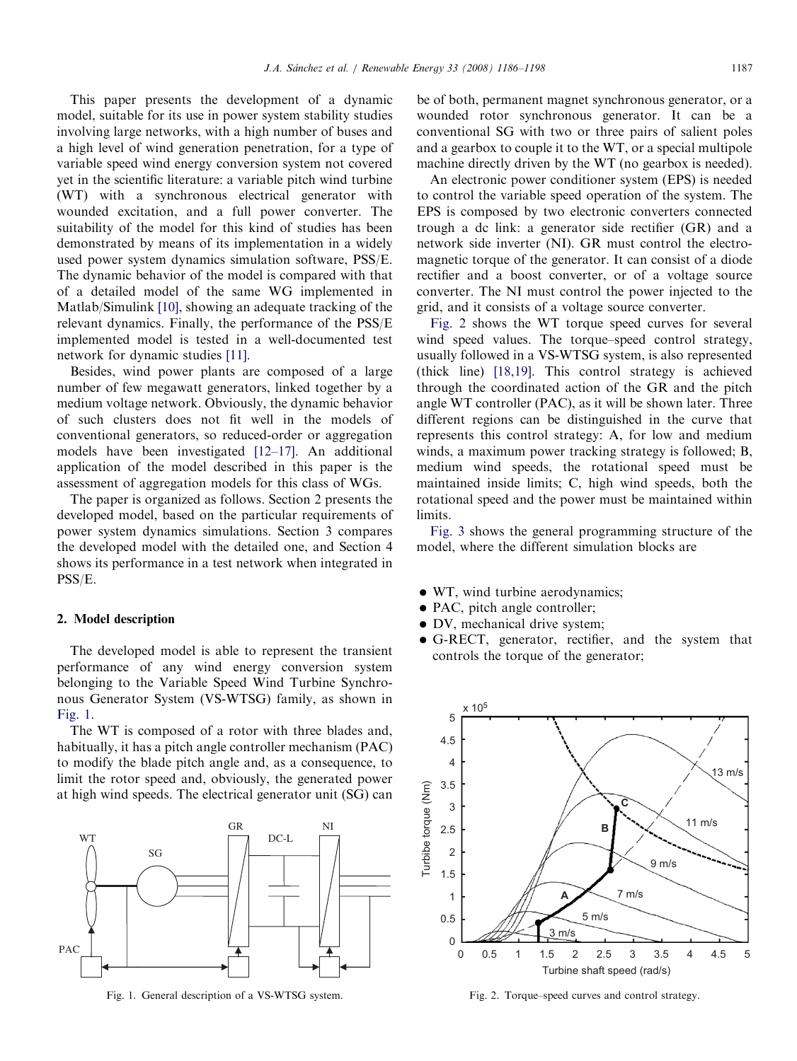This paper presents the development of a dynamic model, suitable for its use in power system stability studies involving large networks, with a high number of buses and a high level of wind generation penetration, for a type of variable speed wind energy conversion system not covered yet in the scientific literature: a variable pitch wind turbine (WT) with a synchronous electrical generator with wounded excitation, and a full power converter. The suitability of the model for this kind of studies has been demonstrated by means of its implementation in a widely used power system dynamics simulation software, PSS/E. The dynamic behavior of the model is compared with that of a detailed model of the same WG implemented in Matlab/Simulink [\[10\],](#page--1-0) showing an adequate tracking of the relevant dynamics. Finally, the performance of the PSS/E implemented model is tested in a well-documented test network for dynamic studies [\[11\].](#page--1-0)

Besides, wind power plants are composed of a large number of few megawatt generators, linked together by a medium voltage network. Obviously, the dynamic behavior of such clusters does not fit well in the models of conventional generators, so reduced-order or aggregation models have been investigated [\[12–17\].](#page--1-0) An additional application of the model described in this paper is the assessment of aggregation models for this class of WGs.

The paper is organized as follows. Section 2 presents the developed model, based on the particular requirements of power system dynamics simulations. Section 3 compares the developed model with the detailed one, and Section 4 shows its performance in a test network when integrated in PSS/E.

#### 2. Model description

The developed model is able to represent the transient performance of any wind energy conversion system belonging to the Variable Speed Wind Turbine Synchronous Generator System (VS-WTSG) family, as shown in Fig. 1.

The WT is composed of a rotor with three blades and, habitually, it has a pitch angle controller mechanism (PAC) to modify the blade pitch angle and, as a consequence, to limit the rotor speed and, obviously, the generated power at high wind speeds. The electrical generator unit (SG) can



Fig. 1. General description of a VS-WTSG system.

be of both, permanent magnet synchronous generator, or a wounded rotor synchronous generator. It can be a conventional SG with two or three pairs of salient poles and a gearbox to couple it to the WT, or a special multipole machine directly driven by the WT (no gearbox is needed).

An electronic power conditioner system (EPS) is needed to control the variable speed operation of the system. The EPS is composed by two electronic converters connected trough a dc link: a generator side rectifier (GR) and a network side inverter (NI). GR must control the electromagnetic torque of the generator. It can consist of a diode rectifier and a boost converter, or of a voltage source converter. The NI must control the power injected to the grid, and it consists of a voltage source converter.

Fig. 2 shows the WT torque speed curves for several wind speed values. The torque–speed control strategy, usually followed in a VS-WTSG system, is also represented (thick line) [\[18,19\]](#page--1-0). This control strategy is achieved through the coordinated action of the GR and the pitch angle WT controller (PAC), as it will be shown later. Three different regions can be distinguished in the curve that represents this control strategy: A, for low and medium winds, a maximum power tracking strategy is followed; B, medium wind speeds, the rotational speed must be maintained inside limits; C, high wind speeds, both the rotational speed and the power must be maintained within limits.

[Fig. 3](#page--1-0) shows the general programming structure of the model, where the different simulation blocks are

- $\bullet$  WT, wind turbine aerodynamics;
- · PAC, pitch angle controller;
- · DV, mechanical drive system;
- G-RECT, generator, rectifier, and the system that controls the torque of the generator;



Fig. 2. Torque–speed curves and control strategy.